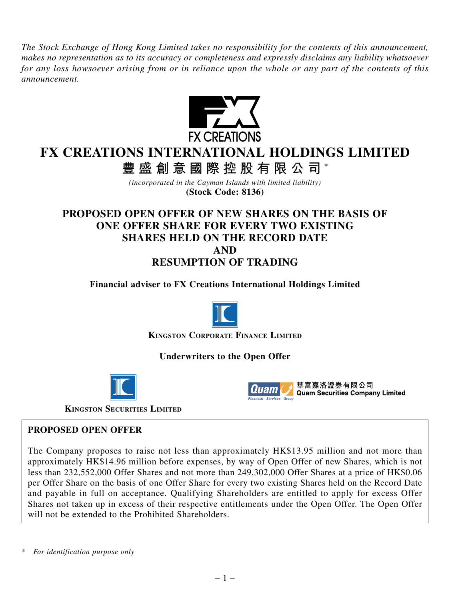*The Stock Exchange of Hong Kong Limited takes no responsibility for the contents of this announcement, makes no representation as to its accuracy or completeness and expressly disclaims any liability whatsoever for any loss howsoever arising from or in reliance upon the whole or any part of the contents of this announcement.*



# **FX CREATIONS INTERNATIONAL HOLDINGS LIMITED**

**豐盛創意國際控股有限公司** \*

*(incorporated in the Cayman Islands with limited liability)* **(Stock Code: 8136)**

# **PROPOSED OPEN OFFER OF NEW SHARES ON THE BASIS OF ONE OFFER SHARE FOR EVERY TWO EXISTING SHARES HELD ON THE RECORD DATE**

**AND**

**RESUMPTION OF TRADING**

**Financial adviser to FX Creations International Holdings Limited**



**KINGSTON CORPORATE FINANCE LIMITED**

**Underwriters to the Open Offer**





華富嘉洛證券有限公司 **Quam Securities Company Limited** 

**KINGSTON SECURITIES LIMITED**

#### **PROPOSED OPEN OFFER**

The Company proposes to raise not less than approximately HK\$13.95 million and not more than approximately HK\$14.96 million before expenses, by way of Open Offer of new Shares, which is not less than 232,552,000 Offer Shares and not more than 249,302,000 Offer Shares at a price of HK\$0.06 per Offer Share on the basis of one Offer Share for every two existing Shares held on the Record Date and payable in full on acceptance. Qualifying Shareholders are entitled to apply for excess Offer Shares not taken up in excess of their respective entitlements under the Open Offer. The Open Offer will not be extended to the Prohibited Shareholders.

*\* For identification purpose only*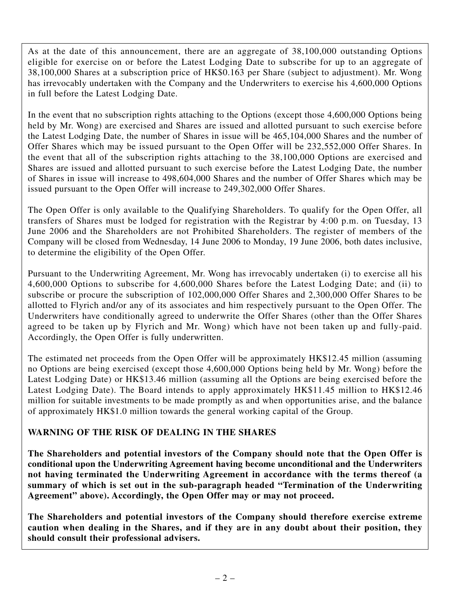As at the date of this announcement, there are an aggregate of 38,100,000 outstanding Options eligible for exercise on or before the Latest Lodging Date to subscribe for up to an aggregate of 38,100,000 Shares at a subscription price of HK\$0.163 per Share (subject to adjustment). Mr. Wong has irrevocably undertaken with the Company and the Underwriters to exercise his 4,600,000 Options in full before the Latest Lodging Date.

In the event that no subscription rights attaching to the Options (except those 4,600,000 Options being held by Mr. Wong) are exercised and Shares are issued and allotted pursuant to such exercise before the Latest Lodging Date, the number of Shares in issue will be 465,104,000 Shares and the number of Offer Shares which may be issued pursuant to the Open Offer will be 232,552,000 Offer Shares. In the event that all of the subscription rights attaching to the 38,100,000 Options are exercised and Shares are issued and allotted pursuant to such exercise before the Latest Lodging Date, the number of Shares in issue will increase to 498,604,000 Shares and the number of Offer Shares which may be issued pursuant to the Open Offer will increase to 249,302,000 Offer Shares.

The Open Offer is only available to the Qualifying Shareholders. To qualify for the Open Offer, all transfers of Shares must be lodged for registration with the Registrar by 4:00 p.m. on Tuesday, 13 June 2006 and the Shareholders are not Prohibited Shareholders. The register of members of the Company will be closed from Wednesday, 14 June 2006 to Monday, 19 June 2006, both dates inclusive, to determine the eligibility of the Open Offer.

Pursuant to the Underwriting Agreement, Mr. Wong has irrevocably undertaken (i) to exercise all his 4,600,000 Options to subscribe for 4,600,000 Shares before the Latest Lodging Date; and (ii) to subscribe or procure the subscription of 102,000,000 Offer Shares and 2,300,000 Offer Shares to be allotted to Flyrich and/or any of its associates and him respectively pursuant to the Open Offer. The Underwriters have conditionally agreed to underwrite the Offer Shares (other than the Offer Shares agreed to be taken up by Flyrich and Mr. Wong) which have not been taken up and fully-paid. Accordingly, the Open Offer is fully underwritten.

The estimated net proceeds from the Open Offer will be approximately HK\$12.45 million (assuming no Options are being exercised (except those 4,600,000 Options being held by Mr. Wong) before the Latest Lodging Date) or HK\$13.46 million (assuming all the Options are being exercised before the Latest Lodging Date). The Board intends to apply approximately HK\$11.45 million to HK\$12.46 million for suitable investments to be made promptly as and when opportunities arise, and the balance of approximately HK\$1.0 million towards the general working capital of the Group.

# **WARNING OF THE RISK OF DEALING IN THE SHARES**

**The Shareholders and potential investors of the Company should note that the Open Offer is conditional upon the Underwriting Agreement having become unconditional and the Underwriters not having terminated the Underwriting Agreement in accordance with the terms thereof (a summary of which is set out in the sub-paragraph headed "Termination of the Underwriting Agreement" above). Accordingly, the Open Offer may or may not proceed.**

**The Shareholders and potential investors of the Company should therefore exercise extreme caution when dealing in the Shares, and if they are in any doubt about their position, they should consult their professional advisers.**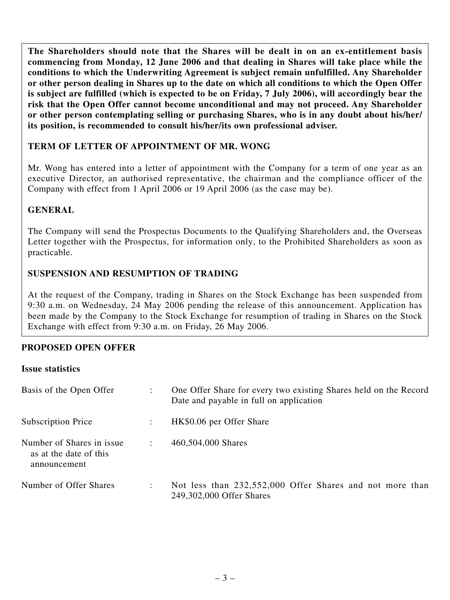**The Shareholders should note that the Shares will be dealt in on an ex-entitlement basis commencing from Monday, 12 June 2006 and that dealing in Shares will take place while the conditions to which the Underwriting Agreement is subject remain unfulfilled. Any Shareholder or other person dealing in Shares up to the date on which all conditions to which the Open Offer is subject are fulfilled (which is expected to be on Friday, 7 July 2006), will accordingly bear the risk that the Open Offer cannot become unconditional and may not proceed. Any Shareholder or other person contemplating selling or purchasing Shares, who is in any doubt about his/her/ its position, is recommended to consult his/her/its own professional adviser.**

# **TERM OF LETTER OF APPOINTMENT OF MR. WONG**

Mr. Wong has entered into a letter of appointment with the Company for a term of one year as an executive Director, an authorised representative, the chairman and the compliance officer of the Company with effect from 1 April 2006 or 19 April 2006 (as the case may be).

# **GENERAL**

The Company will send the Prospectus Documents to the Qualifying Shareholders and, the Overseas Letter together with the Prospectus, for information only, to the Prohibited Shareholders as soon as practicable.

# **SUSPENSION AND RESUMPTION OF TRADING**

At the request of the Company, trading in Shares on the Stock Exchange has been suspended from 9:30 a.m. on Wednesday, 24 May 2006 pending the release of this announcement. Application has been made by the Company to the Stock Exchange for resumption of trading in Shares on the Stock Exchange with effect from 9:30 a.m. on Friday, 26 May 2006.

#### **PROPOSED OPEN OFFER**

#### **Issue statistics**

| Basis of the Open Offer                                             |                      | One Offer Share for every two existing Shares held on the Record<br>Date and payable in full on application |  |  |
|---------------------------------------------------------------------|----------------------|-------------------------------------------------------------------------------------------------------------|--|--|
| Subscription Price                                                  |                      | HK\$0.06 per Offer Share                                                                                    |  |  |
| Number of Shares in issue<br>as at the date of this<br>announcement | $\ddot{\phantom{a}}$ | 460,504,000 Shares                                                                                          |  |  |
| Number of Offer Shares                                              |                      | Not less than 232,552,000 Offer Shares and not more than<br>249,302,000 Offer Shares                        |  |  |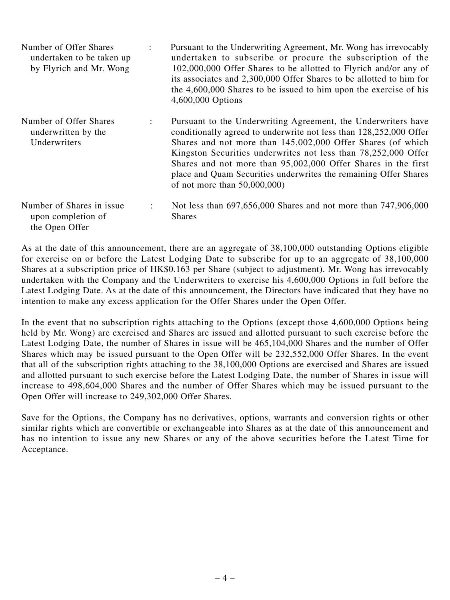- Number of Offer Shares : Pursuant to the Underwriting Agreement, Mr. Wong has irrevocably undertaken to be taken up undertaken to subscribe or procure the subscription of the by Flyrich and Mr. Wong 102,000,000 Offer Shares to be allotted to Flyrich and/or any of its associates and 2,300,000 Offer Shares to be allotted to him for the 4,600,000 Shares to be issued to him upon the exercise of his 4,600,000 Options
- Number of Offer Shares : Pursuant to the Underwriting Agreement, the Underwriters have underwritten by the conditionally agreed to underwrite not less than 128,252,000 Offer<br>
Underwriters<br>
Shares and not more than 145,002,000 Offer Shares (of which Shares and not more than  $145,002,000$  Offer Shares (of which Kingston Securities underwrites not less than 78,252,000 Offer Shares and not more than 95,002,000 Offer Shares in the first place and Quam Securities underwrites the remaining Offer Shares of not more than 50,000,000)
- Number of Shares in issue : Not less than 697,656,000 Shares and not more than 747,906,000 upon completion of Shares the Open Offer

As at the date of this announcement, there are an aggregate of 38,100,000 outstanding Options eligible for exercise on or before the Latest Lodging Date to subscribe for up to an aggregate of 38,100,000 Shares at a subscription price of HK\$0.163 per Share (subject to adjustment). Mr. Wong has irrevocably undertaken with the Company and the Underwriters to exercise his 4,600,000 Options in full before the Latest Lodging Date. As at the date of this announcement, the Directors have indicated that they have no intention to make any excess application for the Offer Shares under the Open Offer.

In the event that no subscription rights attaching to the Options (except those 4,600,000 Options being held by Mr. Wong) are exercised and Shares are issued and allotted pursuant to such exercise before the Latest Lodging Date, the number of Shares in issue will be 465,104,000 Shares and the number of Offer Shares which may be issued pursuant to the Open Offer will be 232,552,000 Offer Shares. In the event that all of the subscription rights attaching to the 38,100,000 Options are exercised and Shares are issued and allotted pursuant to such exercise before the Latest Lodging Date, the number of Shares in issue will increase to 498,604,000 Shares and the number of Offer Shares which may be issued pursuant to the Open Offer will increase to 249,302,000 Offer Shares.

Save for the Options, the Company has no derivatives, options, warrants and conversion rights or other similar rights which are convertible or exchangeable into Shares as at the date of this announcement and has no intention to issue any new Shares or any of the above securities before the Latest Time for Acceptance.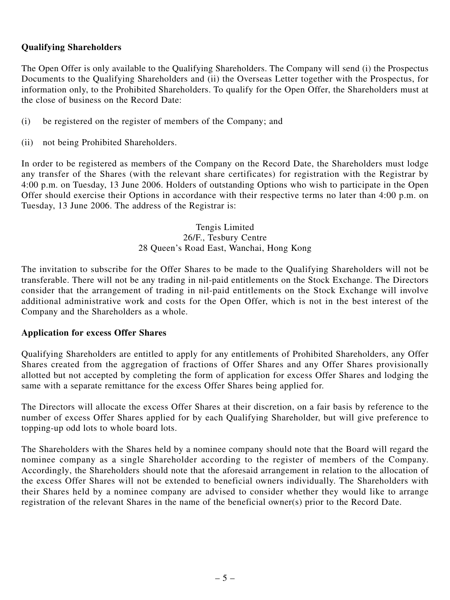### **Qualifying Shareholders**

The Open Offer is only available to the Qualifying Shareholders. The Company will send (i) the Prospectus Documents to the Qualifying Shareholders and (ii) the Overseas Letter together with the Prospectus, for information only, to the Prohibited Shareholders. To qualify for the Open Offer, the Shareholders must at the close of business on the Record Date:

- (i) be registered on the register of members of the Company; and
- (ii) not being Prohibited Shareholders.

In order to be registered as members of the Company on the Record Date, the Shareholders must lodge any transfer of the Shares (with the relevant share certificates) for registration with the Registrar by 4:00 p.m. on Tuesday, 13 June 2006. Holders of outstanding Options who wish to participate in the Open Offer should exercise their Options in accordance with their respective terms no later than 4:00 p.m. on Tuesday, 13 June 2006. The address of the Registrar is:

> Tengis Limited 26/F., Tesbury Centre 28 Queen's Road East, Wanchai, Hong Kong

The invitation to subscribe for the Offer Shares to be made to the Qualifying Shareholders will not be transferable. There will not be any trading in nil-paid entitlements on the Stock Exchange. The Directors consider that the arrangement of trading in nil-paid entitlements on the Stock Exchange will involve additional administrative work and costs for the Open Offer, which is not in the best interest of the Company and the Shareholders as a whole.

#### **Application for excess Offer Shares**

Qualifying Shareholders are entitled to apply for any entitlements of Prohibited Shareholders, any Offer Shares created from the aggregation of fractions of Offer Shares and any Offer Shares provisionally allotted but not accepted by completing the form of application for excess Offer Shares and lodging the same with a separate remittance for the excess Offer Shares being applied for.

The Directors will allocate the excess Offer Shares at their discretion, on a fair basis by reference to the number of excess Offer Shares applied for by each Qualifying Shareholder, but will give preference to topping-up odd lots to whole board lots.

The Shareholders with the Shares held by a nominee company should note that the Board will regard the nominee company as a single Shareholder according to the register of members of the Company. Accordingly, the Shareholders should note that the aforesaid arrangement in relation to the allocation of the excess Offer Shares will not be extended to beneficial owners individually. The Shareholders with their Shares held by a nominee company are advised to consider whether they would like to arrange registration of the relevant Shares in the name of the beneficial owner(s) prior to the Record Date.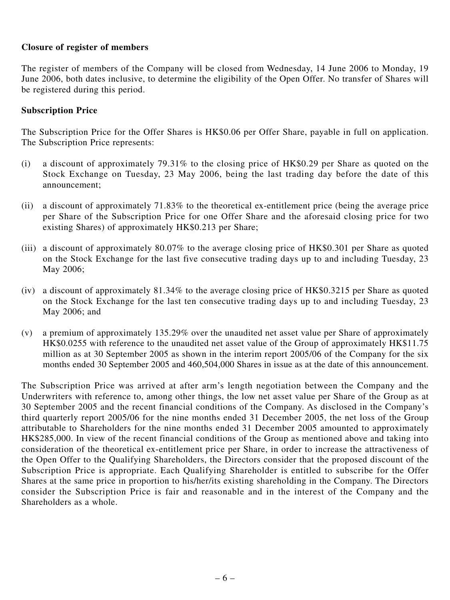#### **Closure of register of members**

The register of members of the Company will be closed from Wednesday, 14 June 2006 to Monday, 19 June 2006, both dates inclusive, to determine the eligibility of the Open Offer. No transfer of Shares will be registered during this period.

# **Subscription Price**

The Subscription Price for the Offer Shares is HK\$0.06 per Offer Share, payable in full on application. The Subscription Price represents:

- (i) a discount of approximately 79.31% to the closing price of HK\$0.29 per Share as quoted on the Stock Exchange on Tuesday, 23 May 2006, being the last trading day before the date of this announcement;
- (ii) a discount of approximately 71.83% to the theoretical ex-entitlement price (being the average price per Share of the Subscription Price for one Offer Share and the aforesaid closing price for two existing Shares) of approximately HK\$0.213 per Share;
- (iii) a discount of approximately 80.07% to the average closing price of HK\$0.301 per Share as quoted on the Stock Exchange for the last five consecutive trading days up to and including Tuesday, 23 May 2006;
- (iv) a discount of approximately 81.34% to the average closing price of HK\$0.3215 per Share as quoted on the Stock Exchange for the last ten consecutive trading days up to and including Tuesday, 23 May 2006; and
- (v) a premium of approximately 135.29% over the unaudited net asset value per Share of approximately HK\$0.0255 with reference to the unaudited net asset value of the Group of approximately HK\$11.75 million as at 30 September 2005 as shown in the interim report 2005/06 of the Company for the six months ended 30 September 2005 and 460,504,000 Shares in issue as at the date of this announcement.

The Subscription Price was arrived at after arm's length negotiation between the Company and the Underwriters with reference to, among other things, the low net asset value per Share of the Group as at 30 September 2005 and the recent financial conditions of the Company. As disclosed in the Company's third quarterly report 2005/06 for the nine months ended 31 December 2005, the net loss of the Group attributable to Shareholders for the nine months ended 31 December 2005 amounted to approximately HK\$285,000. In view of the recent financial conditions of the Group as mentioned above and taking into consideration of the theoretical ex-entitlement price per Share, in order to increase the attractiveness of the Open Offer to the Qualifying Shareholders, the Directors consider that the proposed discount of the Subscription Price is appropriate. Each Qualifying Shareholder is entitled to subscribe for the Offer Shares at the same price in proportion to his/her/its existing shareholding in the Company. The Directors consider the Subscription Price is fair and reasonable and in the interest of the Company and the Shareholders as a whole.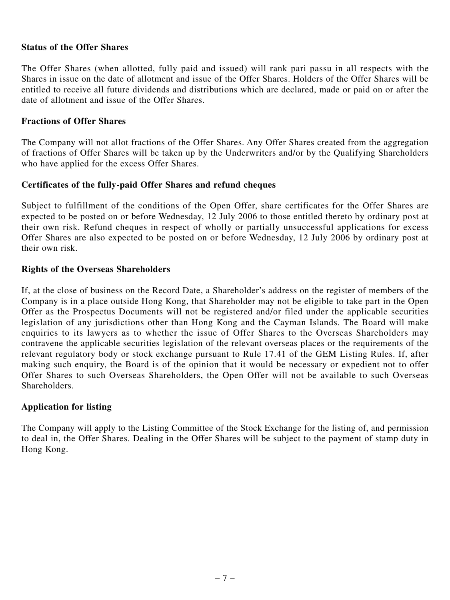#### **Status of the Offer Shares**

The Offer Shares (when allotted, fully paid and issued) will rank pari passu in all respects with the Shares in issue on the date of allotment and issue of the Offer Shares. Holders of the Offer Shares will be entitled to receive all future dividends and distributions which are declared, made or paid on or after the date of allotment and issue of the Offer Shares.

#### **Fractions of Offer Shares**

The Company will not allot fractions of the Offer Shares. Any Offer Shares created from the aggregation of fractions of Offer Shares will be taken up by the Underwriters and/or by the Qualifying Shareholders who have applied for the excess Offer Shares.

#### **Certificates of the fully-paid Offer Shares and refund cheques**

Subject to fulfillment of the conditions of the Open Offer, share certificates for the Offer Shares are expected to be posted on or before Wednesday, 12 July 2006 to those entitled thereto by ordinary post at their own risk. Refund cheques in respect of wholly or partially unsuccessful applications for excess Offer Shares are also expected to be posted on or before Wednesday, 12 July 2006 by ordinary post at their own risk.

#### **Rights of the Overseas Shareholders**

If, at the close of business on the Record Date, a Shareholder's address on the register of members of the Company is in a place outside Hong Kong, that Shareholder may not be eligible to take part in the Open Offer as the Prospectus Documents will not be registered and/or filed under the applicable securities legislation of any jurisdictions other than Hong Kong and the Cayman Islands. The Board will make enquiries to its lawyers as to whether the issue of Offer Shares to the Overseas Shareholders may contravene the applicable securities legislation of the relevant overseas places or the requirements of the relevant regulatory body or stock exchange pursuant to Rule 17.41 of the GEM Listing Rules. If, after making such enquiry, the Board is of the opinion that it would be necessary or expedient not to offer Offer Shares to such Overseas Shareholders, the Open Offer will not be available to such Overseas Shareholders.

#### **Application for listing**

The Company will apply to the Listing Committee of the Stock Exchange for the listing of, and permission to deal in, the Offer Shares. Dealing in the Offer Shares will be subject to the payment of stamp duty in Hong Kong.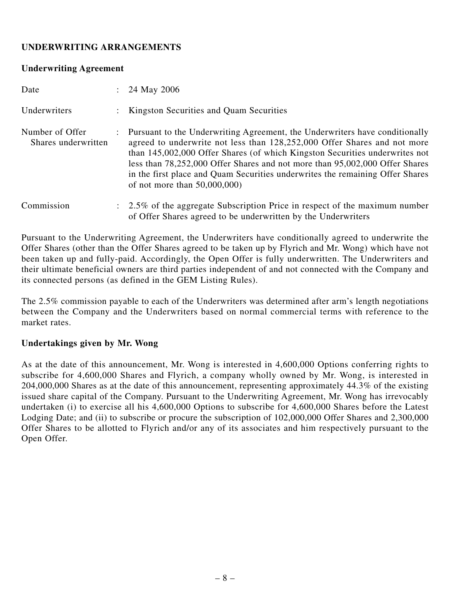# **UNDERWRITING ARRANGEMENTS**

#### **Underwriting Agreement**

| Date                                   | : 24 May 2006                                                                                                                                                                                                                                                                                                                                                                                                                             |
|----------------------------------------|-------------------------------------------------------------------------------------------------------------------------------------------------------------------------------------------------------------------------------------------------------------------------------------------------------------------------------------------------------------------------------------------------------------------------------------------|
| Underwriters                           | : Kingston Securities and Quam Securities                                                                                                                                                                                                                                                                                                                                                                                                 |
| Number of Offer<br>Shares underwritten | : Pursuant to the Underwriting Agreement, the Underwriters have conditionally<br>agreed to underwrite not less than 128,252,000 Offer Shares and not more<br>than 145,002,000 Offer Shares (of which Kingston Securities underwrites not<br>less than 78,252,000 Offer Shares and not more than 95,002,000 Offer Shares<br>in the first place and Quam Securities underwrites the remaining Offer Shares<br>of not more than $50,000,000$ |
| Commission                             | $\therefore$ 2.5% of the aggregate Subscription Price in respect of the maximum number<br>of Offer Shares agreed to be underwritten by the Underwriters                                                                                                                                                                                                                                                                                   |

Pursuant to the Underwriting Agreement, the Underwriters have conditionally agreed to underwrite the Offer Shares (other than the Offer Shares agreed to be taken up by Flyrich and Mr. Wong) which have not been taken up and fully-paid. Accordingly, the Open Offer is fully underwritten. The Underwriters and their ultimate beneficial owners are third parties independent of and not connected with the Company and its connected persons (as defined in the GEM Listing Rules).

The 2.5% commission payable to each of the Underwriters was determined after arm's length negotiations between the Company and the Underwriters based on normal commercial terms with reference to the market rates.

#### **Undertakings given by Mr. Wong**

As at the date of this announcement, Mr. Wong is interested in 4,600,000 Options conferring rights to subscribe for 4,600,000 Shares and Flyrich, a company wholly owned by Mr. Wong, is interested in 204,000,000 Shares as at the date of this announcement, representing approximately 44.3% of the existing issued share capital of the Company. Pursuant to the Underwriting Agreement, Mr. Wong has irrevocably undertaken (i) to exercise all his 4,600,000 Options to subscribe for 4,600,000 Shares before the Latest Lodging Date; and (ii) to subscribe or procure the subscription of 102,000,000 Offer Shares and 2,300,000 Offer Shares to be allotted to Flyrich and/or any of its associates and him respectively pursuant to the Open Offer.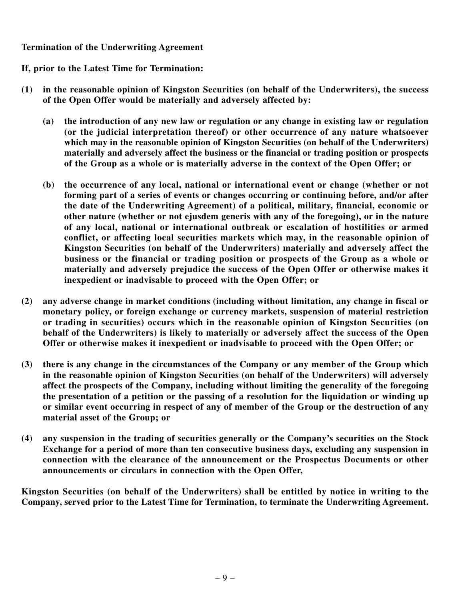#### **Termination of the Underwriting Agreement**

# **If, prior to the Latest Time for Termination:**

- **(1) in the reasonable opinion of Kingston Securities (on behalf of the Underwriters), the success of the Open Offer would be materially and adversely affected by:**
	- **(a) the introduction of any new law or regulation or any change in existing law or regulation (or the judicial interpretation thereof) or other occurrence of any nature whatsoever which may in the reasonable opinion of Kingston Securities (on behalf of the Underwriters) materially and adversely affect the business or the financial or trading position or prospects of the Group as a whole or is materially adverse in the context of the Open Offer; or**
	- **(b) the occurrence of any local, national or international event or change (whether or not forming part of a series of events or changes occurring or continuing before, and/or after the date of the Underwriting Agreement) of a political, military, financial, economic or other nature (whether or not ejusdem generis with any of the foregoing), or in the nature of any local, national or international outbreak or escalation of hostilities or armed conflict, or affecting local securities markets which may, in the reasonable opinion of Kingston Securities (on behalf of the Underwriters) materially and adversely affect the business or the financial or trading position or prospects of the Group as a whole or materially and adversely prejudice the success of the Open Offer or otherwise makes it inexpedient or inadvisable to proceed with the Open Offer; or**
- **(2) any adverse change in market conditions (including without limitation, any change in fiscal or monetary policy, or foreign exchange or currency markets, suspension of material restriction or trading in securities) occurs which in the reasonable opinion of Kingston Securities (on behalf of the Underwriters) is likely to materially or adversely affect the success of the Open Offer or otherwise makes it inexpedient or inadvisable to proceed with the Open Offer; or**
- **(3) there is any change in the circumstances of the Company or any member of the Group which in the reasonable opinion of Kingston Securities (on behalf of the Underwriters) will adversely affect the prospects of the Company, including without limiting the generality of the foregoing the presentation of a petition or the passing of a resolution for the liquidation or winding up or similar event occurring in respect of any of member of the Group or the destruction of any material asset of the Group; or**
- **(4) any suspension in the trading of securities generally or the Company's securities on the Stock Exchange for a period of more than ten consecutive business days, excluding any suspension in connection with the clearance of the announcement or the Prospectus Documents or other announcements or circulars in connection with the Open Offer,**

**Kingston Securities (on behalf of the Underwriters) shall be entitled by notice in writing to the Company, served prior to the Latest Time for Termination, to terminate the Underwriting Agreement.**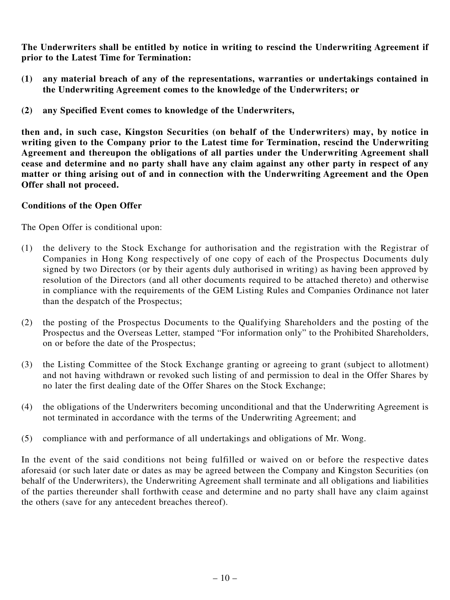**The Underwriters shall be entitled by notice in writing to rescind the Underwriting Agreement if prior to the Latest Time for Termination:**

- **(1) any material breach of any of the representations, warranties or undertakings contained in the Underwriting Agreement comes to the knowledge of the Underwriters; or**
- **(2) any Specified Event comes to knowledge of the Underwriters,**

**then and, in such case, Kingston Securities (on behalf of the Underwriters) may, by notice in writing given to the Company prior to the Latest time for Termination, rescind the Underwriting Agreement and thereupon the obligations of all parties under the Underwriting Agreement shall cease and determine and no party shall have any claim against any other party in respect of any matter or thing arising out of and in connection with the Underwriting Agreement and the Open Offer shall not proceed.**

#### **Conditions of the Open Offer**

The Open Offer is conditional upon:

- (1) the delivery to the Stock Exchange for authorisation and the registration with the Registrar of Companies in Hong Kong respectively of one copy of each of the Prospectus Documents duly signed by two Directors (or by their agents duly authorised in writing) as having been approved by resolution of the Directors (and all other documents required to be attached thereto) and otherwise in compliance with the requirements of the GEM Listing Rules and Companies Ordinance not later than the despatch of the Prospectus;
- (2) the posting of the Prospectus Documents to the Qualifying Shareholders and the posting of the Prospectus and the Overseas Letter, stamped "For information only" to the Prohibited Shareholders, on or before the date of the Prospectus;
- (3) the Listing Committee of the Stock Exchange granting or agreeing to grant (subject to allotment) and not having withdrawn or revoked such listing of and permission to deal in the Offer Shares by no later the first dealing date of the Offer Shares on the Stock Exchange;
- (4) the obligations of the Underwriters becoming unconditional and that the Underwriting Agreement is not terminated in accordance with the terms of the Underwriting Agreement; and
- (5) compliance with and performance of all undertakings and obligations of Mr. Wong.

In the event of the said conditions not being fulfilled or waived on or before the respective dates aforesaid (or such later date or dates as may be agreed between the Company and Kingston Securities (on behalf of the Underwriters), the Underwriting Agreement shall terminate and all obligations and liabilities of the parties thereunder shall forthwith cease and determine and no party shall have any claim against the others (save for any antecedent breaches thereof).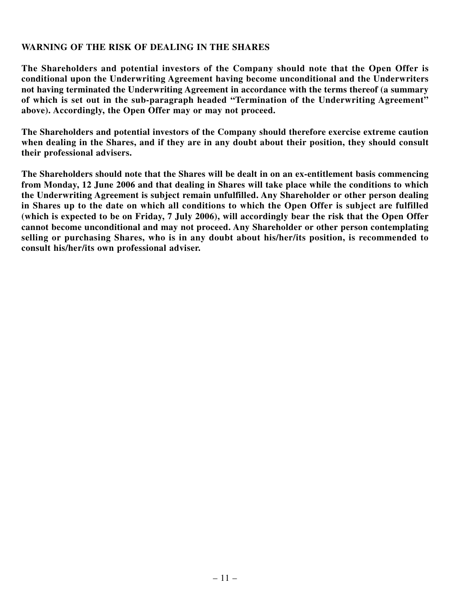#### **WARNING OF THE RISK OF DEALING IN THE SHARES**

**The Shareholders and potential investors of the Company should note that the Open Offer is conditional upon the Underwriting Agreement having become unconditional and the Underwriters not having terminated the Underwriting Agreement in accordance with the terms thereof (a summary of which is set out in the sub-paragraph headed "Termination of the Underwriting Agreement" above). Accordingly, the Open Offer may or may not proceed.**

**The Shareholders and potential investors of the Company should therefore exercise extreme caution** when dealing in the Shares, and if they are in any doubt about their position, they should consult **their professional advisers.**

**The Shareholders should note that the Shares will be dealt in on an ex-entitlement basis commencing from Monday, 12 June 2006 and that dealing in Shares will take place while the conditions to which the Underwriting Agreement is subject remain unfulfilled. Any Shareholder or other person dealing in Shares up to the date on which all conditions to which the Open Offer is subject are fulfilled (which is expected to be on Friday, 7 July 2006), will accordingly bear the risk that the Open Offer cannot become unconditional and may not proceed. Any Shareholder or other person contemplating selling or purchasing Shares, who is in any doubt about his/her/its position, is recommended to consult his/her/its own professional adviser.**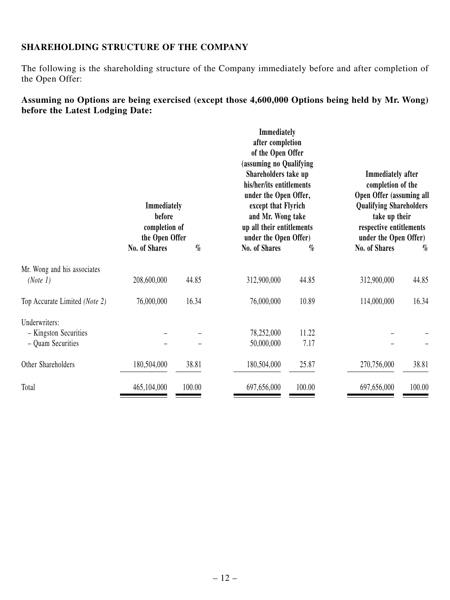### **SHAREHOLDING STRUCTURE OF THE COMPANY**

The following is the shareholding structure of the Company immediately before and after completion of the Open Offer:

# **Assuming no Options are being exercised (except those 4,600,000 Options being held by Mr. Wong) before the Latest Lodging Date:**

|                                                             | Immediately<br>before<br>completion of<br>the Open Offer |        | Immediately<br>after completion<br>of the Open Offer<br>(assuming no Qualifying<br>Shareholders take up<br>his/her/its entitlements<br>under the Open Offer,<br>except that Flyrich<br>and Mr. Wong take<br>up all their entitlements<br>under the Open Offer) |               | <b>Immediately</b> after<br>completion of the<br>Open Offer (assuming all<br><b>Qualifying Shareholders</b><br>take up their<br>respective entitlements<br>under the Open Offer) |        |
|-------------------------------------------------------------|----------------------------------------------------------|--------|----------------------------------------------------------------------------------------------------------------------------------------------------------------------------------------------------------------------------------------------------------------|---------------|----------------------------------------------------------------------------------------------------------------------------------------------------------------------------------|--------|
|                                                             | No. of Shares                                            | $\%$   | No. of Shares                                                                                                                                                                                                                                                  | $\%$          | No. of Shares                                                                                                                                                                    | $\%$   |
| Mr. Wong and his associates<br>(Note 1)                     | 208,600,000                                              | 44.85  | 312,900,000                                                                                                                                                                                                                                                    | 44.85         | 312,900,000                                                                                                                                                                      | 44.85  |
| Top Accurate Limited (Note 2)                               | 76,000,000                                               | 16.34  | 76,000,000                                                                                                                                                                                                                                                     | 10.89         | 114,000,000                                                                                                                                                                      | 16.34  |
| Underwriters:<br>- Kingston Securities<br>- Quam Securities |                                                          |        | 78,252,000<br>50,000,000                                                                                                                                                                                                                                       | 11.22<br>7.17 |                                                                                                                                                                                  |        |
| Other Shareholders                                          | 180,504,000                                              | 38.81  | 180,504,000                                                                                                                                                                                                                                                    | 25.87         | 270,756,000                                                                                                                                                                      | 38.81  |
| Total                                                       | 465,104,000                                              | 100.00 | 697,656,000                                                                                                                                                                                                                                                    | 100.00        | 697,656,000                                                                                                                                                                      | 100.00 |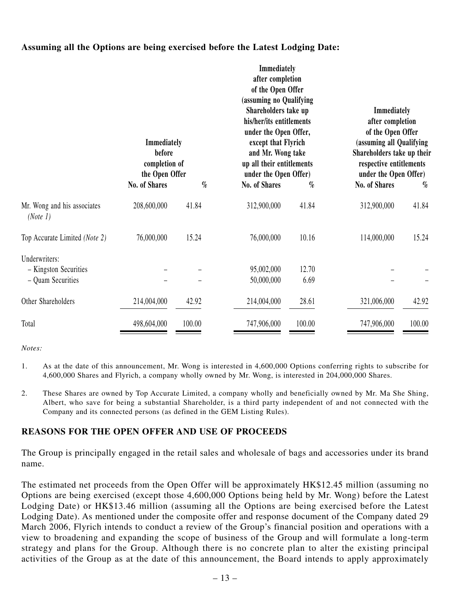#### **Assuming all the Options are being exercised before the Latest Lodging Date:**

|                                                             | Immediately<br>before<br>completion of<br>the Open Offer |        | Immediately<br>after completion<br>of the Open Offer<br>(assuming no Qualifying<br>Shareholders take up<br>his/her/its entitlements<br>under the Open Offer,<br>except that Flyrich<br>and Mr. Wong take<br>up all their entitlements<br>under the Open Offer) |               | Immediately<br>after completion<br>of the Open Offer<br>(assuming all Qualifying<br>Shareholders take up their<br>respective entitlements<br>under the Open Offer) |        |
|-------------------------------------------------------------|----------------------------------------------------------|--------|----------------------------------------------------------------------------------------------------------------------------------------------------------------------------------------------------------------------------------------------------------------|---------------|--------------------------------------------------------------------------------------------------------------------------------------------------------------------|--------|
|                                                             | No. of Shares                                            | $\%$   | No. of Shares                                                                                                                                                                                                                                                  | $\%$          | No. of Shares                                                                                                                                                      | $\%$   |
| Mr. Wong and his associates<br>(Note 1)                     | 208,600,000                                              | 41.84  | 312,900,000                                                                                                                                                                                                                                                    | 41.84         | 312,900,000                                                                                                                                                        | 41.84  |
| Top Accurate Limited (Note 2)                               | 76,000,000                                               | 15.24  | 76,000,000                                                                                                                                                                                                                                                     | 10.16         | 114,000,000                                                                                                                                                        | 15.24  |
| Underwriters:<br>- Kingston Securities<br>- Quam Securities |                                                          |        | 95,002,000<br>50,000,000                                                                                                                                                                                                                                       | 12.70<br>6.69 |                                                                                                                                                                    |        |
| Other Shareholders                                          | 214,004,000                                              | 42.92  | 214,004,000                                                                                                                                                                                                                                                    | 28.61         | 321,006,000                                                                                                                                                        | 42.92  |
| Total                                                       | 498,604,000                                              | 100.00 | 747,906,000                                                                                                                                                                                                                                                    | 100.00        | 747,906,000                                                                                                                                                        | 100.00 |

*Notes:*

- 1. As at the date of this announcement, Mr. Wong is interested in 4,600,000 Options conferring rights to subscribe for 4,600,000 Shares and Flyrich, a company wholly owned by Mr. Wong, is interested in 204,000,000 Shares.
- 2. These Shares are owned by Top Accurate Limited, a company wholly and beneficially owned by Mr. Ma She Shing, Albert, who save for being a substantial Shareholder, is a third party independent of and not connected with the Company and its connected persons (as defined in the GEM Listing Rules).

#### **REASONS FOR THE OPEN OFFER AND USE OF PROCEEDS**

The Group is principally engaged in the retail sales and wholesale of bags and accessories under its brand name.

The estimated net proceeds from the Open Offer will be approximately HK\$12.45 million (assuming no Options are being exercised (except those 4,600,000 Options being held by Mr. Wong) before the Latest Lodging Date) or HK\$13.46 million (assuming all the Options are being exercised before the Latest Lodging Date). As mentioned under the composite offer and response document of the Company dated 29 March 2006, Flyrich intends to conduct a review of the Group's financial position and operations with a view to broadening and expanding the scope of business of the Group and will formulate a long-term strategy and plans for the Group. Although there is no concrete plan to alter the existing principal activities of the Group as at the date of this announcement, the Board intends to apply approximately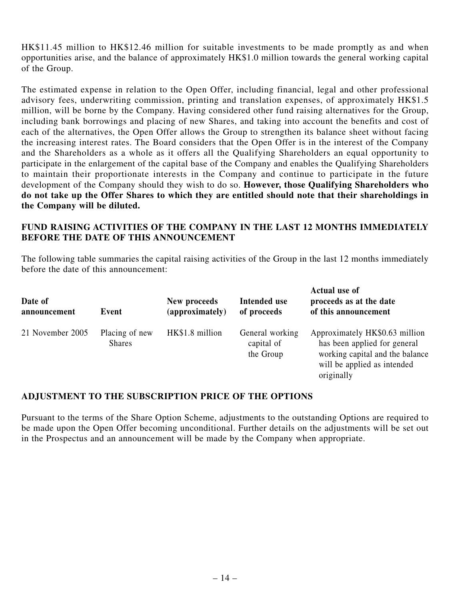HK\$11.45 million to HK\$12.46 million for suitable investments to be made promptly as and when opportunities arise, and the balance of approximately HK\$1.0 million towards the general working capital of the Group.

The estimated expense in relation to the Open Offer, including financial, legal and other professional advisory fees, underwriting commission, printing and translation expenses, of approximately HK\$1.5 million, will be borne by the Company. Having considered other fund raising alternatives for the Group, including bank borrowings and placing of new Shares, and taking into account the benefits and cost of each of the alternatives, the Open Offer allows the Group to strengthen its balance sheet without facing the increasing interest rates. The Board considers that the Open Offer is in the interest of the Company and the Shareholders as a whole as it offers all the Qualifying Shareholders an equal opportunity to participate in the enlargement of the capital base of the Company and enables the Qualifying Shareholders to maintain their proportionate interests in the Company and continue to participate in the future development of the Company should they wish to do so. **However, those Qualifying Shareholders who do not take up the Offer Shares to which they are entitled should note that their shareholdings in the Company will be diluted.**

#### **FUND RAISING ACTIVITIES OF THE COMPANY IN THE LAST 12 MONTHS IMMEDIATELY BEFORE THE DATE OF THIS ANNOUNCEMENT**

The following table summaries the capital raising activities of the Group in the last 12 months immediately before the date of this announcement:

| Date of<br>announcement | Event                           | New proceeds<br>(approximately) | Intended use<br>of proceeds                | Actual use of<br>proceeds as at the date<br>of this announcement                                                                               |
|-------------------------|---------------------------------|---------------------------------|--------------------------------------------|------------------------------------------------------------------------------------------------------------------------------------------------|
| 21 November 2005        | Placing of new<br><b>Shares</b> | HK\$1.8 million                 | General working<br>capital of<br>the Group | Approximately HK\$0.63 million<br>has been applied for general<br>working capital and the balance<br>will be applied as intended<br>originally |

#### **ADJUSTMENT TO THE SUBSCRIPTION PRICE OF THE OPTIONS**

Pursuant to the terms of the Share Option Scheme, adjustments to the outstanding Options are required to be made upon the Open Offer becoming unconditional. Further details on the adjustments will be set out in the Prospectus and an announcement will be made by the Company when appropriate.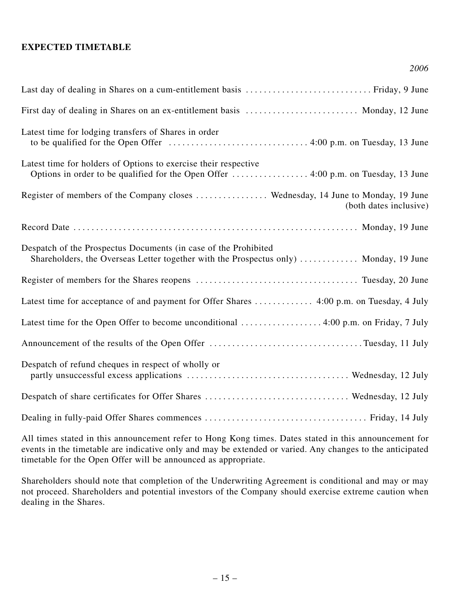#### **EXPECTED TIMETABLE**

| First day of dealing in Shares on an ex-entitlement basis  Monday, 12 June                                                                               |
|----------------------------------------------------------------------------------------------------------------------------------------------------------|
| Latest time for lodging transfers of Shares in order                                                                                                     |
| Latest time for holders of Options to exercise their respective                                                                                          |
| Register of members of the Company closes  Wednesday, 14 June to Monday, 19 June<br>(both dates inclusive)                                               |
|                                                                                                                                                          |
| Despatch of the Prospectus Documents (in case of the Prohibited<br>Shareholders, the Overseas Letter together with the Prospectus only)  Monday, 19 June |
|                                                                                                                                                          |
|                                                                                                                                                          |
| Latest time for the Open Offer to become unconditional  4:00 p.m. on Friday, 7 July                                                                      |
|                                                                                                                                                          |
| Despatch of refund cheques in respect of wholly or                                                                                                       |
|                                                                                                                                                          |
|                                                                                                                                                          |

*2006*

All times stated in this announcement refer to Hong Kong times. Dates stated in this announcement for events in the timetable are indicative only and may be extended or varied. Any changes to the anticipated timetable for the Open Offer will be announced as appropriate.

Shareholders should note that completion of the Underwriting Agreement is conditional and may or may not proceed. Shareholders and potential investors of the Company should exercise extreme caution when dealing in the Shares.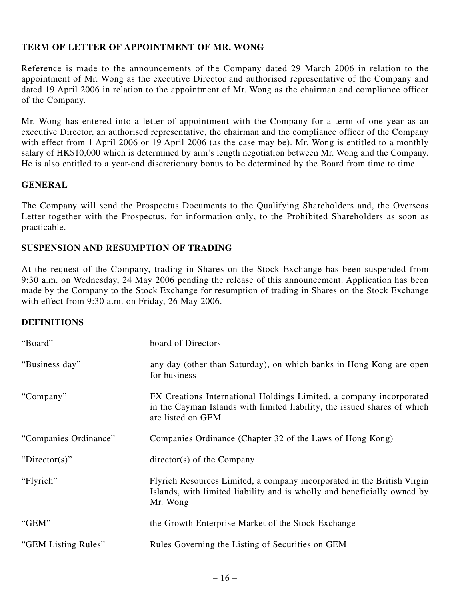#### **TERM OF LETTER OF APPOINTMENT OF MR. WONG**

Reference is made to the announcements of the Company dated 29 March 2006 in relation to the appointment of Mr. Wong as the executive Director and authorised representative of the Company and dated 19 April 2006 in relation to the appointment of Mr. Wong as the chairman and compliance officer of the Company.

Mr. Wong has entered into a letter of appointment with the Company for a term of one year as an executive Director, an authorised representative, the chairman and the compliance officer of the Company with effect from 1 April 2006 or 19 April 2006 (as the case may be). Mr. Wong is entitled to a monthly salary of HK\$10,000 which is determined by arm's length negotiation between Mr. Wong and the Company. He is also entitled to a year-end discretionary bonus to be determined by the Board from time to time.

#### **GENERAL**

The Company will send the Prospectus Documents to the Qualifying Shareholders and, the Overseas Letter together with the Prospectus, for information only, to the Prohibited Shareholders as soon as practicable.

#### **SUSPENSION AND RESUMPTION OF TRADING**

At the request of the Company, trading in Shares on the Stock Exchange has been suspended from 9:30 a.m. on Wednesday, 24 May 2006 pending the release of this announcement. Application has been made by the Company to the Stock Exchange for resumption of trading in Shares on the Stock Exchange with effect from 9:30 a.m. on Friday, 26 May 2006.

#### **DEFINITIONS**

| "Board"               | board of Directors                                                                                                                                                   |
|-----------------------|----------------------------------------------------------------------------------------------------------------------------------------------------------------------|
| "Business day"        | any day (other than Saturday), on which banks in Hong Kong are open<br>for business                                                                                  |
| "Company"             | FX Creations International Holdings Limited, a company incorporated<br>in the Cayman Islands with limited liability, the issued shares of which<br>are listed on GEM |
| "Companies Ordinance" | Companies Ordinance (Chapter 32 of the Laws of Hong Kong)                                                                                                            |
| "Director(s)"         | $directory(s)$ of the Company                                                                                                                                        |
| "Flyrich"             | Flyrich Resources Limited, a company incorporated in the British Virgin<br>Islands, with limited liability and is wholly and beneficially owned by<br>Mr. Wong       |
| "GEM"                 | the Growth Enterprise Market of the Stock Exchange                                                                                                                   |
| "GEM Listing Rules"   | Rules Governing the Listing of Securities on GEM                                                                                                                     |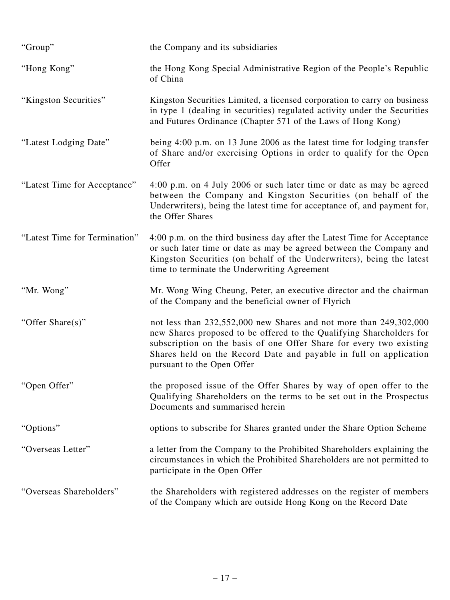| "Group"                       | the Company and its subsidiaries                                                                                                                                                                                                                                                                                     |
|-------------------------------|----------------------------------------------------------------------------------------------------------------------------------------------------------------------------------------------------------------------------------------------------------------------------------------------------------------------|
| "Hong Kong"                   | the Hong Kong Special Administrative Region of the People's Republic<br>of China                                                                                                                                                                                                                                     |
| "Kingston Securities"         | Kingston Securities Limited, a licensed corporation to carry on business<br>in type 1 (dealing in securities) regulated activity under the Securities<br>and Futures Ordinance (Chapter 571 of the Laws of Hong Kong)                                                                                                |
| "Latest Lodging Date"         | being 4:00 p.m. on 13 June 2006 as the latest time for lodging transfer<br>of Share and/or exercising Options in order to qualify for the Open<br>Offer                                                                                                                                                              |
| "Latest Time for Acceptance"  | 4:00 p.m. on 4 July 2006 or such later time or date as may be agreed<br>between the Company and Kingston Securities (on behalf of the<br>Underwriters), being the latest time for acceptance of, and payment for,<br>the Offer Shares                                                                                |
| "Latest Time for Termination" | 4:00 p.m. on the third business day after the Latest Time for Acceptance<br>or such later time or date as may be agreed between the Company and<br>Kingston Securities (on behalf of the Underwriters), being the latest<br>time to terminate the Underwriting Agreement                                             |
| "Mr. Wong"                    | Mr. Wong Wing Cheung, Peter, an executive director and the chairman<br>of the Company and the beneficial owner of Flyrich                                                                                                                                                                                            |
| "Offer Share(s)"              | not less than 232,552,000 new Shares and not more than 249,302,000<br>new Shares proposed to be offered to the Qualifying Shareholders for<br>subscription on the basis of one Offer Share for every two existing<br>Shares held on the Record Date and payable in full on application<br>pursuant to the Open Offer |
| "Open Offer"                  | the proposed issue of the Offer Shares by way of open offer to the<br>Qualifying Shareholders on the terms to be set out in the Prospectus<br>Documents and summarised herein                                                                                                                                        |
| "Options"                     | options to subscribe for Shares granted under the Share Option Scheme                                                                                                                                                                                                                                                |
| "Overseas Letter"             | a letter from the Company to the Prohibited Shareholders explaining the<br>circumstances in which the Prohibited Shareholders are not permitted to<br>participate in the Open Offer                                                                                                                                  |
| "Overseas Shareholders"       | the Shareholders with registered addresses on the register of members<br>of the Company which are outside Hong Kong on the Record Date                                                                                                                                                                               |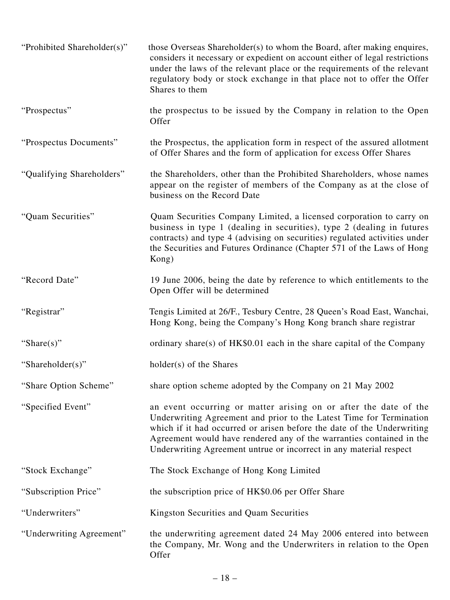| "Prohibited Shareholder(s)" | those Overseas Shareholder(s) to whom the Board, after making enquires,<br>considers it necessary or expedient on account either of legal restrictions<br>under the laws of the relevant place or the requirements of the relevant<br>regulatory body or stock exchange in that place not to offer the Offer<br>Shares to them                                  |
|-----------------------------|-----------------------------------------------------------------------------------------------------------------------------------------------------------------------------------------------------------------------------------------------------------------------------------------------------------------------------------------------------------------|
| "Prospectus"                | the prospectus to be issued by the Company in relation to the Open<br>Offer                                                                                                                                                                                                                                                                                     |
| "Prospectus Documents"      | the Prospectus, the application form in respect of the assured allotment<br>of Offer Shares and the form of application for excess Offer Shares                                                                                                                                                                                                                 |
| "Qualifying Shareholders"   | the Shareholders, other than the Prohibited Shareholders, whose names<br>appear on the register of members of the Company as at the close of<br>business on the Record Date                                                                                                                                                                                     |
| "Quam Securities"           | Quam Securities Company Limited, a licensed corporation to carry on<br>business in type 1 (dealing in securities), type 2 (dealing in futures<br>contracts) and type 4 (advising on securities) regulated activities under<br>the Securities and Futures Ordinance (Chapter 571 of the Laws of Hong<br>Kong)                                                    |
| "Record Date"               | 19 June 2006, being the date by reference to which entitlements to the<br>Open Offer will be determined                                                                                                                                                                                                                                                         |
| "Registrar"                 | Tengis Limited at 26/F., Tesbury Centre, 28 Queen's Road East, Wanchai,<br>Hong Kong, being the Company's Hong Kong branch share registrar                                                                                                                                                                                                                      |
| "Share $(s)$ "              | ordinary share(s) of HK\$0.01 each in the share capital of the Company                                                                                                                                                                                                                                                                                          |
| "Shareholder(s)"            | holder(s) of the Shares                                                                                                                                                                                                                                                                                                                                         |
| "Share Option Scheme"       | share option scheme adopted by the Company on 21 May 2002                                                                                                                                                                                                                                                                                                       |
| "Specified Event"           | an event occurring or matter arising on or after the date of the<br>Underwriting Agreement and prior to the Latest Time for Termination<br>which if it had occurred or arisen before the date of the Underwriting<br>Agreement would have rendered any of the warranties contained in the<br>Underwriting Agreement untrue or incorrect in any material respect |
| "Stock Exchange"            | The Stock Exchange of Hong Kong Limited                                                                                                                                                                                                                                                                                                                         |
| "Subscription Price"        | the subscription price of HK\$0.06 per Offer Share                                                                                                                                                                                                                                                                                                              |
| "Underwriters"              | Kingston Securities and Quam Securities                                                                                                                                                                                                                                                                                                                         |
| "Underwriting Agreement"    | the underwriting agreement dated 24 May 2006 entered into between<br>the Company, Mr. Wong and the Underwriters in relation to the Open<br>Offer                                                                                                                                                                                                                |